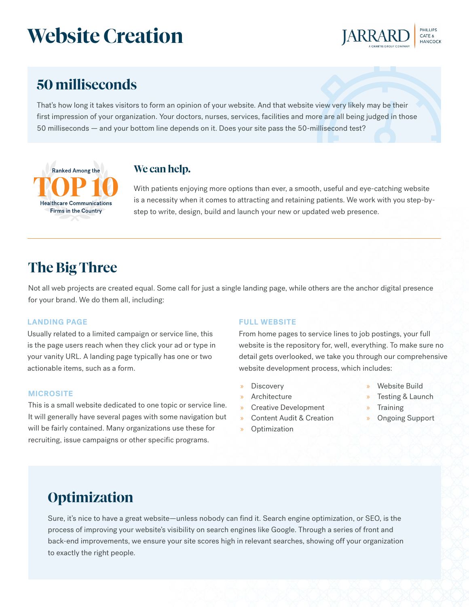# **Website Creation**



### **50 milliseconds**

That's how long it takes visitors to form an opinion of your website. And that website view very likely may be their first impression of your organization. Your doctors, nurses, services, facilities and more are all being judged in those 50 milliseconds — and your bottom line depends on it. Does your site pass the 50-millisecond test?



### **We can help.**

With patients enjoying more options than ever, a smooth, useful and eye-catching website is a necessity when it comes to attracting and retaining patients. We work with you step-bystep to write, design, build and launch your new or updated web presence.

### **The Big Three**

Not all web projects are created equal. Some call for just a single landing page, while others are the anchor digital presence for your brand. We do them all, including:

#### **LANDING PAGE**

Usually related to a limited campaign or service line, this is the page users reach when they click your ad or type in your vanity URL. A landing page typically has one or two actionable items, such as a form.

#### **MICROSITE**

This is a small website dedicated to one topic or service line. It will generally have several pages with some navigation but will be fairly contained. Many organizations use these for recruiting, issue campaigns or other specific programs.

#### **FULL WEBSITE**

From home pages to service lines to job postings, your full website is the repository for, well, everything. To make sure no detail gets overlooked, we take you through our comprehensive website development process, which includes:

- Discovery
- » Architecture
- » Creative Development
- » Content Audit & Creation
- » Optimization
- Website Build
- Testing & Launch
- **Training**
- » Ongoing Support

### **Optimization**

Sure, it's nice to have a great website—unless nobody can find it. Search engine optimization, or SEO, is the process of improving your website's visibility on search engines like Google. Through a series of front and back-end improvements, we ensure your site scores high in relevant searches, showing off your organization to exactly the right people.